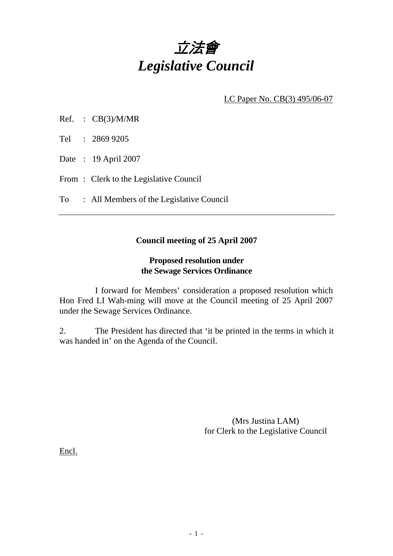

LC Paper No. CB(3) 495/06-07

- Ref. : CB(3)/M/MR
- Tel : 2869 9205
- Date : 19 April 2007
- From: Clerk to the Legislative Council
- To : All Members of the Legislative Council

## **Council meeting of 25 April 2007**

## **Proposed resolution under the Sewage Services Ordinance**

 I forward for Members' consideration a proposed resolution which Hon Fred LI Wah-ming will move at the Council meeting of 25 April 2007 under the Sewage Services Ordinance.

2. The President has directed that 'it be printed in the terms in which it was handed in' on the Agenda of the Council.

> (Mrs Justina LAM) for Clerk to the Legislative Council

Encl.